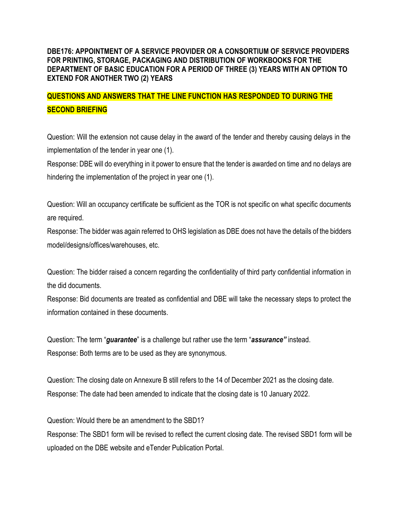## **DBE176: APPOINTMENT OF A SERVICE PROVIDER OR A CONSORTIUM OF SERVICE PROVIDERS FOR PRINTING, STORAGE, PACKAGING AND DISTRIBUTION OF WORKBOOKS FOR THE DEPARTMENT OF BASIC EDUCATION FOR A PERIOD OF THREE (3) YEARS WITH AN OPTION TO EXTEND FOR ANOTHER TWO (2) YEARS**

## **QUESTIONS AND ANSWERS THAT THE LINE FUNCTION HAS RESPONDED TO DURING THE SECOND BRIEFING**

Question: Will the extension not cause delay in the award of the tender and thereby causing delays in the implementation of the tender in year one (1).

Response: DBE will do everything in it power to ensure that the tender is awarded on time and no delays are hindering the implementation of the project in year one (1).

Question: Will an occupancy certificate be sufficient as the TOR is not specific on what specific documents are required.

Response: The bidder was again referred to OHS legislation as DBE does not have the details of the bidders model/designs/offices/warehouses, etc.

Question: The bidder raised a concern regarding the confidentiality of third party confidential information in the did documents.

Response: Bid documents are treated as confidential and DBE will take the necessary steps to protect the information contained in these documents.

Question: The term "*guarantee*" is a challenge but rather use the term "*assurance"* instead. Response: Both terms are to be used as they are synonymous.

Question: The closing date on Annexure B still refers to the 14 of December 2021 as the closing date. Response: The date had been amended to indicate that the closing date is 10 January 2022.

Question: Would there be an amendment to the SBD1?

Response: The SBD1 form will be revised to reflect the current closing date. The revised SBD1 form will be uploaded on the DBE website and eTender Publication Portal.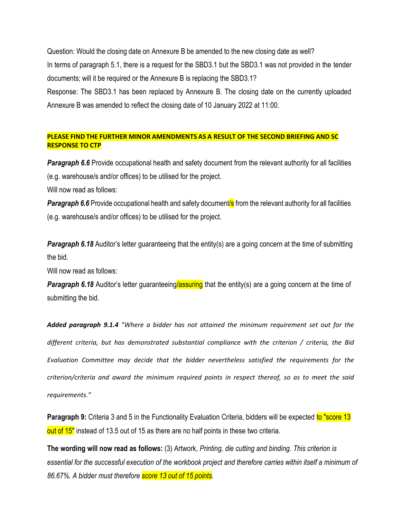Question: Would the closing date on Annexure B be amended to the new closing date as well? In terms of paragraph 5.1, there is a request for the SBD3.1 but the SBD3.1 was not provided in the tender documents; will it be required or the Annexure B is replacing the SBD3.1?

Response: The SBD3.1 has been replaced by Annexure B. The closing date on the currently uploaded Annexure B was amended to reflect the closing date of 10 January 2022 at 11:00.

## **PLEASE FIND THE FURTHER MINOR AMENDMENTS AS A RESULT OF THE SECOND BRIEFING AND SC RESPONSE TO CTP**

*Paragraph 6.6* Provide occupational health and safety document from the relevant authority for all facilities (e.g. warehouse/s and/or offices) to be utilised for the project.

Will now read as follows:

**Paragraph 6.6** Provide occupational health and safety document<sup>'</sup>s from the relevant authority for all facilities (e.g. warehouse/s and/or offices) to be utilised for the project.

**Paragraph 6.18** Auditor's letter guaranteeing that the entity(s) are a going concern at the time of submitting the bid.

Will now read as follows:

**Paragraph 6.18** Auditor's letter guaranteeing/assuring that the entity(s) are a going concern at the time of submitting the bid.

*Added paragraph 9.1.4 "Where a bidder has not attained the minimum requirement set out for the different criteria, but has demonstrated substantial compliance with the criterion / criteria, the Bid Evaluation Committee may decide that the bidder nevertheless satisfied the requirements for the criterion/criteria and award the minimum required points in respect thereof, so as to meet the said requirements."* 

**Paragraph 9:** Criteria 3 and 5 in the Functionality Evaluation Criteria, bidders will be expected to "score 13 out of 15" instead of 13.5 out of 15 as there are no half points in these two criteria.

**The wording will now read as follows:** (3) Artwork, *Printing, die cutting and binding. This criterion is essential for the successful execution of the workbook project and therefore carries within itself a minimum of 86.67%. A bidder must therefore score 13 out of 15 points.*